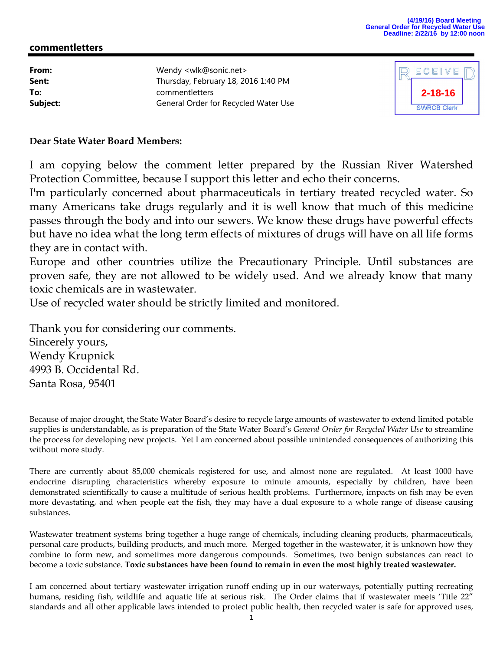## **commentletters**

| Wendy <wlk@sonic.net></wlk@sonic.net> |
|---------------------------------------|
| Thursday, February 18, 2016 1:40 PM   |
| commentletters                        |
| General Order for Recycled Water Use  |
|                                       |



## **Dear State Water Board Members:**

I am copying below the comment letter prepared by the Russian River Watershed Protection Committee, because I support this letter and echo their concerns.

I'm particularly concerned about pharmaceuticals in tertiary treated recycled water. So many Americans take drugs regularly and it is well know that much of this medicine passes through the body and into our sewers. We know these drugs have powerful effects but have no idea what the long term effects of mixtures of drugs will have on all life forms they are in contact with.

Europe and other countries utilize the Precautionary Principle. Until substances are proven safe, they are not allowed to be widely used. And we already know that many toxic chemicals are in wastewater.

Use of recycled water should be strictly limited and monitored.

Thank you for considering our comments. Sincerely yours, Wendy Krupnick 4993 B. Occidental Rd. Santa Rosa, 95401

Because of major drought, the State Water Board's desire to recycle large amounts of wastewater to extend limited potable supplies is understandable, as is preparation of the State Water Board's *General Order for Recycled Water Use* to streamline the process for developing new projects. Yet I am concerned about possible unintended consequences of authorizing this without more study.

There are currently about 85,000 chemicals registered for use, and almost none are regulated. At least 1000 have endocrine disrupting characteristics whereby exposure to minute amounts, especially by children, have been demonstrated scientifically to cause a multitude of serious health problems. Furthermore, impacts on fish may be even more devastating, and when people eat the fish, they may have a dual exposure to a whole range of disease causing substances.

Wastewater treatment systems bring together a huge range of chemicals, including cleaning products, pharmaceuticals, personal care products, building products, and much more. Merged together in the wastewater, it is unknown how they combine to form new, and sometimes more dangerous compounds. Sometimes, two benign substances can react to become a toxic substance. **Toxic substances have been found to remain in even the most highly treated wastewater.**

I am concerned about tertiary wastewater irrigation runoff ending up in our waterways, potentially putting recreating humans, residing fish, wildlife and aquatic life at serious risk. The Order claims that if wastewater meets 'Title 22" standards and all other applicable laws intended to protect public health, then recycled water is safe for approved uses,